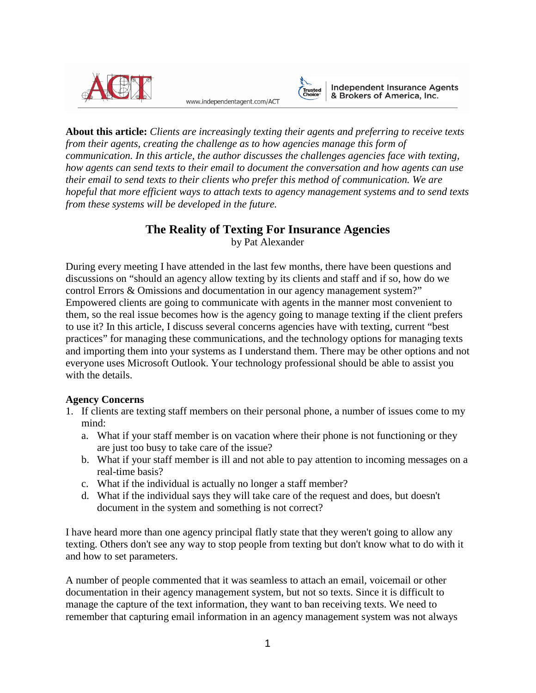

www.independentagent.com/ACT



Independent Insurance Agents<br>& Brokers of America, Inc.

**About this article:** *Clients are increasingly texting their agents and preferring to receive texts from their agents, creating the challenge as to how agencies manage this form of communication. In this article, the author discusses the challenges agencies face with texting, how agents can send texts to their email to document the conversation and how agents can use their email to send texts to their clients who prefer this method of communication. We are hopeful that more efficient ways to attach texts to agency management systems and to send texts from these systems will be developed in the future.*

# **The Reality of Texting For Insurance Agencies**

by Pat Alexander

During every meeting I have attended in the last few months, there have been questions and discussions on "should an agency allow texting by its clients and staff and if so, how do we control Errors & Omissions and documentation in our agency management system?" Empowered clients are going to communicate with agents in the manner most convenient to them, so the real issue becomes how is the agency going to manage texting if the client prefers to use it? In this article, I discuss several concerns agencies have with texting, current "best practices" for managing these communications, and the technology options for managing texts and importing them into your systems as I understand them. There may be other options and not everyone uses Microsoft Outlook. Your technology professional should be able to assist you with the details.

## **Agency Concerns**

- 1. If clients are texting staff members on their personal phone, a number of issues come to my mind:
	- a. What if your staff member is on vacation where their phone is not functioning or they are just too busy to take care of the issue?
	- b. What if your staff member is ill and not able to pay attention to incoming messages on a real-time basis?
	- c. What if the individual is actually no longer a staff member?
	- d. What if the individual says they will take care of the request and does, but doesn't document in the system and something is not correct?

I have heard more than one agency principal flatly state that they weren't going to allow any texting. Others don't see any way to stop people from texting but don't know what to do with it and how to set parameters.

A number of people commented that it was seamless to attach an email, voicemail or other documentation in their agency management system, but not so texts. Since it is difficult to manage the capture of the text information, they want to ban receiving texts. We need to remember that capturing email information in an agency management system was not always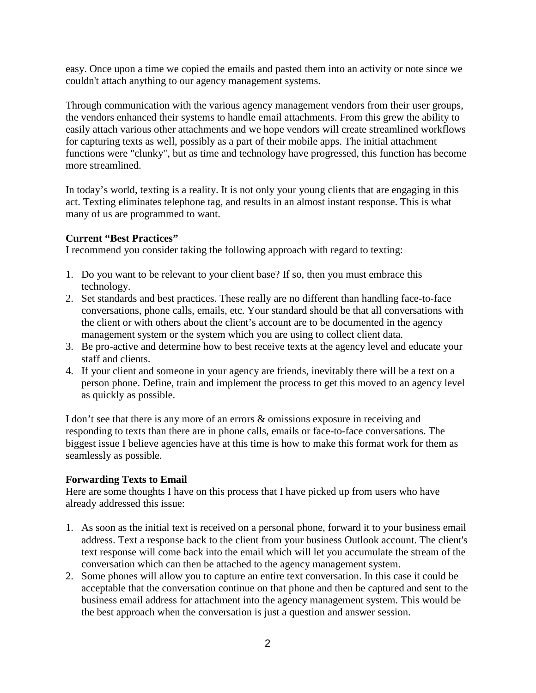easy. Once upon a time we copied the emails and pasted them into an activity or note since we couldn't attach anything to our agency management systems.

Through communication with the various agency management vendors from their user groups, the vendors enhanced their systems to handle email attachments. From this grew the ability to easily attach various other attachments and we hope vendors will create streamlined workflows for capturing texts as well, possibly as a part of their mobile apps. The initial attachment functions were "clunky", but as time and technology have progressed, this function has become more streamlined.

In today's world, texting is a reality. It is not only your young clients that are engaging in this act. Texting eliminates telephone tag, and results in an almost instant response. This is what many of us are programmed to want.

## **Current "Best Practices"**

I recommend you consider taking the following approach with regard to texting:

- 1. Do you want to be relevant to your client base? If so, then you must embrace this technology.
- 2. Set standards and best practices. These really are no different than handling face-to-face conversations, phone calls, emails, etc. Your standard should be that all conversations with the client or with others about the client's account are to be documented in the agency management system or the system which you are using to collect client data.
- 3. Be pro-active and determine how to best receive texts at the agency level and educate your staff and clients.
- 4. If your client and someone in your agency are friends, inevitably there will be a text on a person phone. Define, train and implement the process to get this moved to an agency level as quickly as possible.

I don't see that there is any more of an errors & omissions exposure in receiving and responding to texts than there are in phone calls, emails or face-to-face conversations. The biggest issue I believe agencies have at this time is how to make this format work for them as seamlessly as possible.

## **Forwarding Texts to Email**

Here are some thoughts I have on this process that I have picked up from users who have already addressed this issue:

- 1. As soon as the initial text is received on a personal phone, forward it to your business email address. Text a response back to the client from your business Outlook account. The client's text response will come back into the email which will let you accumulate the stream of the conversation which can then be attached to the agency management system.
- 2. Some phones will allow you to capture an entire text conversation. In this case it could be acceptable that the conversation continue on that phone and then be captured and sent to the business email address for attachment into the agency management system. This would be the best approach when the conversation is just a question and answer session.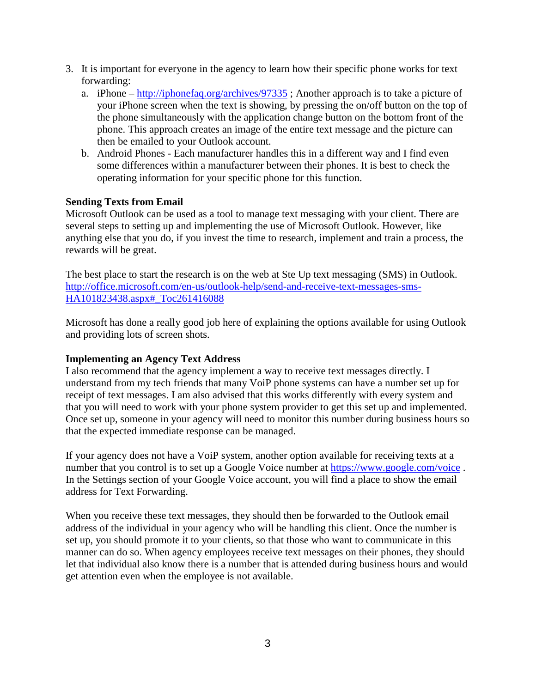- 3. It is important for everyone in the agency to learn how their specific phone works for text forwarding:
	- a. iPhone <http://iphonefaq.org/archives/97335> ; Another approach is to take a picture of your iPhone screen when the text is showing, by pressing the on/off button on the top of the phone simultaneously with the application change button on the bottom front of the phone. This approach creates an image of the entire text message and the picture can then be emailed to your Outlook account.
	- b. Android Phones Each manufacturer handles this in a different way and I find even some differences within a manufacturer between their phones. It is best to check the operating information for your specific phone for this function.

### **Sending Texts from Email**

Microsoft Outlook can be used as a tool to manage text messaging with your client. There are several steps to setting up and implementing the use of Microsoft Outlook. However, like anything else that you do, if you invest the time to research, implement and train a process, the rewards will be great.

The best place to start the research is on the web at Ste Up text messaging (SMS) in Outlook. [http://office.microsoft.com/en-us/outlook-help/send-and-receive-text-messages-sms-](http://office.microsoft.com/en-us/outlook-help/send-and-receive-text-messages-sms-HA101823438.aspx#_Toc261416088)[HA101823438.aspx#\\_Toc261416088](http://office.microsoft.com/en-us/outlook-help/send-and-receive-text-messages-sms-HA101823438.aspx#_Toc261416088)

Microsoft has done a really good job here of explaining the options available for using Outlook and providing lots of screen shots.

## **Implementing an Agency Text Address**

I also recommend that the agency implement a way to receive text messages directly. I understand from my tech friends that many VoiP phone systems can have a number set up for receipt of text messages. I am also advised that this works differently with every system and that you will need to work with your phone system provider to get this set up and implemented. Once set up, someone in your agency will need to monitor this number during business hours so that the expected immediate response can be managed.

If your agency does not have a VoiP system, another option available for receiving texts at a number that you control is to set up a Google Voice number at<https://www.google.com/voice>. In the Settings section of your Google Voice account, you will find a place to show the email address for Text Forwarding.

When you receive these text messages, they should then be forwarded to the Outlook email address of the individual in your agency who will be handling this client. Once the number is set up, you should promote it to your clients, so that those who want to communicate in this manner can do so. When agency employees receive text messages on their phones, they should let that individual also know there is a number that is attended during business hours and would get attention even when the employee is not available.